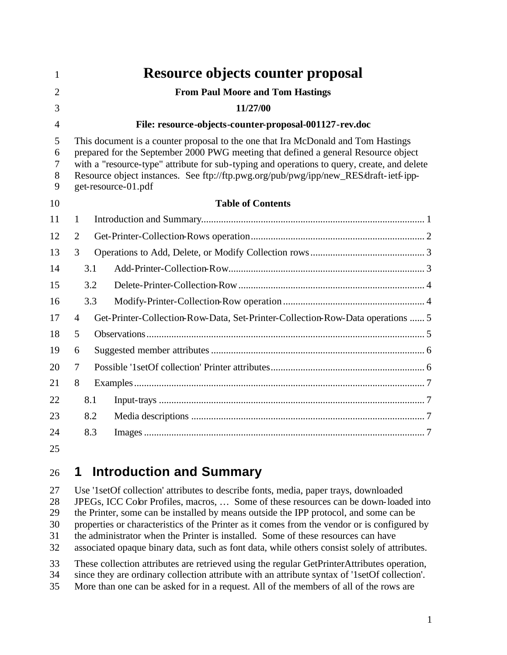| 1                                  |                                                                                                                                                                                                                                                                                                                                                                                       | Resource objects counter proposal                                              |  |  |
|------------------------------------|---------------------------------------------------------------------------------------------------------------------------------------------------------------------------------------------------------------------------------------------------------------------------------------------------------------------------------------------------------------------------------------|--------------------------------------------------------------------------------|--|--|
| $\overline{2}$                     |                                                                                                                                                                                                                                                                                                                                                                                       | <b>From Paul Moore and Tom Hastings</b>                                        |  |  |
| 3                                  |                                                                                                                                                                                                                                                                                                                                                                                       | 11/27/00                                                                       |  |  |
| 4                                  |                                                                                                                                                                                                                                                                                                                                                                                       | File: resource-objects-counter-proposal-001127-rev.doc                         |  |  |
| 5<br>6<br>$\overline{7}$<br>8<br>9 | This document is a counter proposal to the one that Ira McDonald and Tom Hastings<br>prepared for the September 2000 PWG meeting that defined a general Resource object<br>with a "resource-type" attribute for sub-typing and operations to query, create, and delete<br>Resource object instances. See ftp://ftp.pwg.org/pub/pwg/ipp/new_RES/draft-ietf-ipp-<br>get-resource-01.pdf |                                                                                |  |  |
| 10                                 |                                                                                                                                                                                                                                                                                                                                                                                       | <b>Table of Contents</b>                                                       |  |  |
| 11                                 | 1                                                                                                                                                                                                                                                                                                                                                                                     |                                                                                |  |  |
| 12                                 | $\overline{2}$                                                                                                                                                                                                                                                                                                                                                                        |                                                                                |  |  |
| 13                                 | 3                                                                                                                                                                                                                                                                                                                                                                                     |                                                                                |  |  |
| 14                                 | 3.1                                                                                                                                                                                                                                                                                                                                                                                   |                                                                                |  |  |
| 15                                 | 3.2                                                                                                                                                                                                                                                                                                                                                                                   |                                                                                |  |  |
| 16                                 | 3.3                                                                                                                                                                                                                                                                                                                                                                                   |                                                                                |  |  |
| 17                                 | $\overline{4}$                                                                                                                                                                                                                                                                                                                                                                        | Get-Printer-Collection-Row-Data, Set-Printer-Collection-Row-Data operations  5 |  |  |
| 18                                 | 5                                                                                                                                                                                                                                                                                                                                                                                     |                                                                                |  |  |
| 19                                 | 6                                                                                                                                                                                                                                                                                                                                                                                     |                                                                                |  |  |
| 20                                 | 7                                                                                                                                                                                                                                                                                                                                                                                     |                                                                                |  |  |
| 21                                 | 8                                                                                                                                                                                                                                                                                                                                                                                     |                                                                                |  |  |
| 22                                 | 8.1                                                                                                                                                                                                                                                                                                                                                                                   |                                                                                |  |  |
| 23                                 | 8.2                                                                                                                                                                                                                                                                                                                                                                                   |                                                                                |  |  |
| 24                                 | 8.3                                                                                                                                                                                                                                                                                                                                                                                   |                                                                                |  |  |
| 25                                 |                                                                                                                                                                                                                                                                                                                                                                                       |                                                                                |  |  |

#### **1 Introduction and Summary**

 Use '1setOf collection' attributes to describe fonts, media, paper trays, downloaded JPEGs, ICC Color Profiles, macros, … Some of these resources can be down-loaded into the Printer, some can be installed by means outside the IPP protocol, and some can be properties or characteristics of the Printer as it comes from the vendor or is configured by the administrator when the Printer is installed. Some of these resources can have associated opaque binary data, such as font data, while others consist solely of attributes. These collection attributes are retrieved using the regular GetPrinterAttributes operation, since they are ordinary collection attribute with an attribute syntax of '1setOf collection'. More than one can be asked for in a request. All of the members of all of the rows are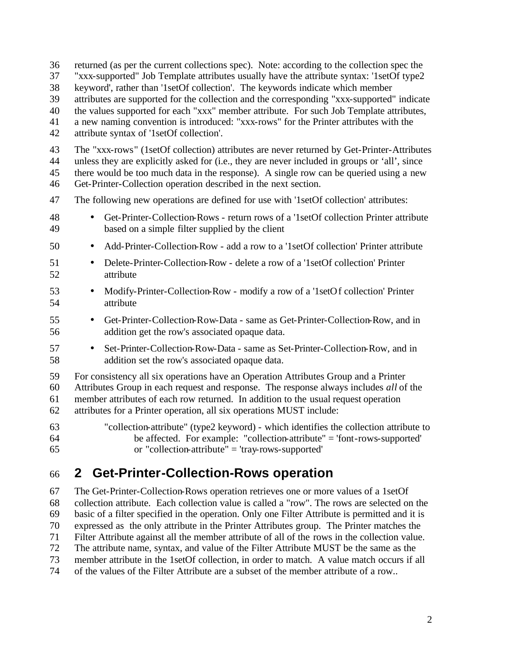returned (as per the current collections spec). Note: according to the collection spec the "xxx-supported" Job Template attributes usually have the attribute syntax: '1setOf type2 keyword', rather than '1setOf collection'. The keywords indicate which member attributes are supported for the collection and the corresponding "xxx-supported" indicate the values supported for each "xxx" member attribute. For such Job Template attributes, a new naming convention is introduced: "xxx-rows" for the Printer attributes with the attribute syntax of '1setOf collection'. The "xxx-rows" (1setOf collection) attributes are never returned by Get-Printer-Attributes unless they are explicitly asked for (i.e., they are never included in groups or 'all', since there would be too much data in the response). A single row can be queried using a new Get-Printer-Collection operation described in the next section. The following new operations are defined for use with '1setOf collection' attributes: • Get-Printer-Collection-Rows - return rows of a '1setOf collection Printer attribute based on a simple filter supplied by the client • Add-Printer-Collection-Row - add a row to a '1setOf collection' Printer attribute • Delete-Printer-Collection-Row - delete a row of a '1setOf collection' Printer attribute • Modify-Printer-Collection-Row - modify a row of a '1setOf collection' Printer attribute • Get-Printer-Collection-Row-Data - same as Get-Printer-Collection-Row, and in addition get the row's associated opaque data. • Set-Printer-Collection-Row-Data - same as Set-Printer-Collection-Row, and in addition set the row's associated opaque data. For consistency all six operations have an Operation Attributes Group and a Printer Attributes Group in each request and response. The response always includes *all* of the member attributes of each row returned. In addition to the usual request operation attributes for a Printer operation, all six operations MUST include: "collection-attribute" (type2 keyword) - which identifies the collection attribute to be affected. For example: "collection-attribute" = 'font-rows-supported' or "collection-attribute" = 'tray-rows-supported'

# **2 Get-Printer-Collection-Rows operation**

 The Get-Printer-Collection-Rows operation retrieves one or more values of a 1setOf collection attribute. Each collection value is called a "row". The rows are selected on the basic of a filter specified in the operation. Only one Filter Attribute is permitted and it is expressed as the only attribute in the Printer Attributes group. The Printer matches the Filter Attribute against all the member attribute of all of the rows in the collection value. The attribute name, syntax, and value of the Filter Attribute MUST be the same as the member attribute in the 1setOf collection, in order to match. A value match occurs if all of the values of the Filter Attribute are a subset of the member attribute of a row..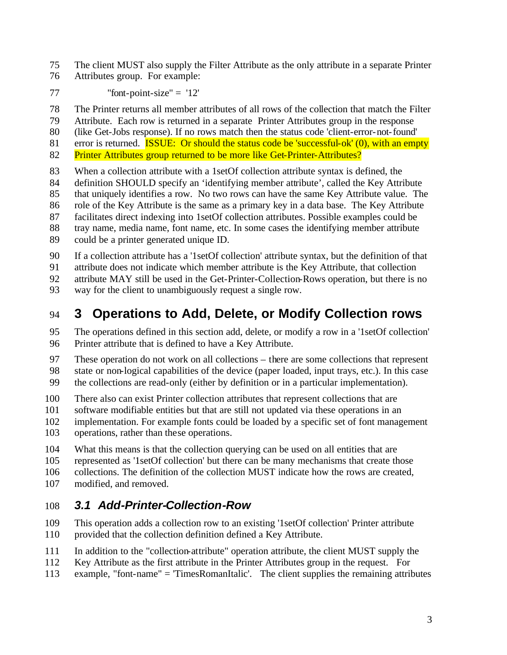The client MUST also supply the Filter Attribute as the only attribute in a separate Printer Attributes group. For example:

"font-point-size" =  $12$ "

The Printer returns all member attributes of all rows of the collection that match the Filter

Attribute. Each row is returned in a separate Printer Attributes group in the response

(like Get-Jobs response). If no rows match then the status code 'client-error-not-found'

81 error is returned. **ISSUE:** Or should the status code be 'successful-ok' (0), with an empty

82 Printer Attributes group returned to be more like Get-Printer-Attributes?

When a collection attribute with a 1setOf collection attribute syntax is defined, the

definition SHOULD specify an 'identifying member attribute', called the Key Attribute

that uniquely identifies a row. No two rows can have the same Key Attribute value. The

role of the Key Attribute is the same as a primary key in a data base. The Key Attribute

 facilitates direct indexing into 1setOf collection attributes. Possible examples could be tray name, media name, font name, etc. In some cases the identifying member attribute

could be a printer generated unique ID.

If a collection attribute has a '1setOf collection' attribute syntax, but the definition of that

attribute does not indicate which member attribute is the Key Attribute, that collection

attribute MAY still be used in the Get-Printer-Collection-Rows operation, but there is no

way for the client to unambiguously request a single row.

# **3 Operations to Add, Delete, or Modify Collection rows**

 The operations defined in this section add, delete, or modify a row in a '1setOf collection' Printer attribute that is defined to have a Key Attribute.

 These operation do not work on all collections – there are some collections that represent state or non-logical capabilities of the device (paper loaded, input trays, etc.). In this case the collections are read-only (either by definition or in a particular implementation).

There also can exist Printer collection attributes that represent collections that are

software modifiable entities but that are still not updated via these operations in an

implementation. For example fonts could be loaded by a specific set of font management

operations, rather than these operations.

What this means is that the collection querying can be used on all entities that are

represented as '1setOf collection' but there can be many mechanisms that create those

collections. The definition of the collection MUST indicate how the rows are created,

modified, and removed.

#### *3.1 Add-Printer-Collection-Row*

 This operation adds a collection row to an existing '1setOf collection' Printer attribute provided that the collection definition defined a Key Attribute.

- In addition to the "collection-attribute" operation attribute, the client MUST supply the
- Key Attribute as the first attribute in the Printer Attributes group in the request. For
- example, "font-name" = 'TimesRomanItalic'. The client supplies the remaining attributes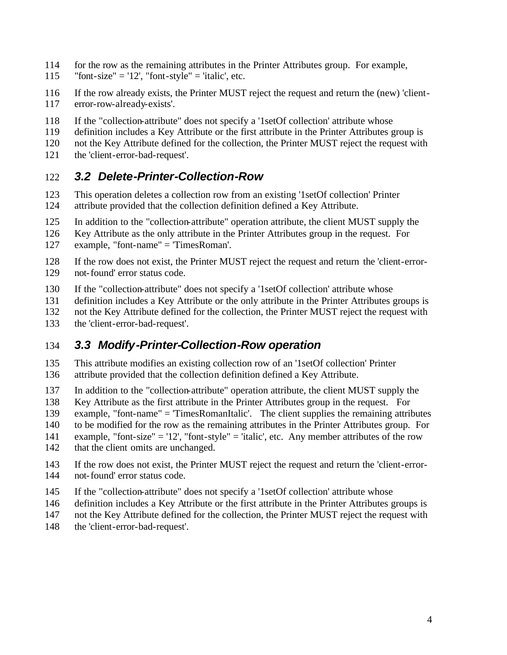- for the row as the remaining attributes in the Printer Attributes group. For example,
- 115 "font-size" = '12', "font-style" = 'italic', etc.
- If the row already exists, the Printer MUST reject the request and return the (new) 'client-error-row-already-exists'.
- If the "collection-attribute" does not specify a '1setOf collection' attribute whose
- definition includes a Key Attribute or the first attribute in the Printer Attributes group is
- not the Key Attribute defined for the collection, the Printer MUST reject the request with
- the 'client-error-bad-request'.

#### *3.2 Delete-Printer-Collection-Row*

- This operation deletes a collection row from an existing '1setOf collection' Printer attribute provided that the collection definition defined a Key Attribute.
- In addition to the "collection-attribute" operation attribute, the client MUST supply the
- Key Attribute as the only attribute in the Printer Attributes group in the request. For
- example, "font-name" = 'TimesRoman'.
- If the row does not exist, the Printer MUST reject the request and return the 'client-error-not-found' error status code.
- If the "collection-attribute" does not specify a '1setOf collection' attribute whose
- definition includes a Key Attribute or the only attribute in the Printer Attributes groups is
- not the Key Attribute defined for the collection, the Printer MUST reject the request with
- the 'client-error-bad-request'.

#### *3.3 Modify-Printer-Collection-Row operation*

- This attribute modifies an existing collection row of an '1setOf collection' Printer attribute provided that the collection definition defined a Key Attribute.
- In addition to the "collection-attribute" operation attribute, the client MUST supply the
- Key Attribute as the first attribute in the Printer Attributes group in the request. For
- example, "font-name" = 'TimesRomanItalic'. The client supplies the remaining attributes
- to be modified for the row as the remaining attributes in the Printer Attributes group. For
- example, "font-size" = '12', "font-style" = 'italic', etc. Any member attributes of the row
- 142 that the client omits are unchanged.
- If the row does not exist, the Printer MUST reject the request and return the 'client-error-not-found' error status code.
- If the "collection-attribute" does not specify a '1setOf collection' attribute whose
- definition includes a Key Attribute or the first attribute in the Printer Attributes groups is
- not the Key Attribute defined for the collection, the Printer MUST reject the request with
- the 'client-error-bad-request'.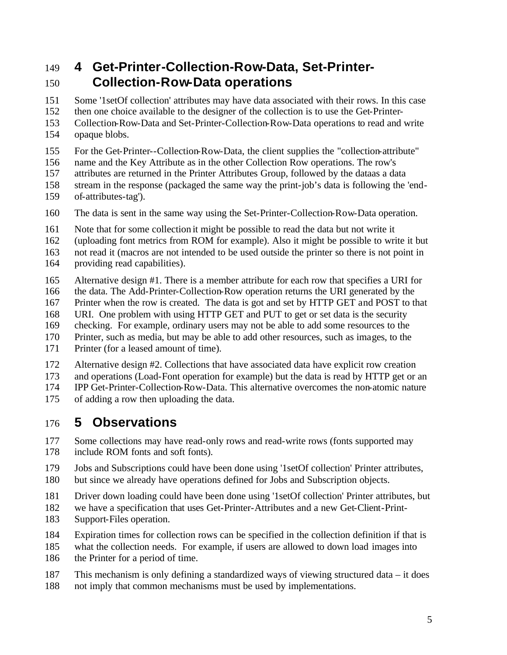### **4 Get-Printer-Collection-Row-Data, Set-Printer-Collection-Row-Data operations**

Some '1setOf collection' attributes may have data associated with their rows. In this case

then one choice available to the designer of the collection is to use the Get-Printer-

Collection-Row-Data and Set-Printer-Collection-Row-Data operations to read and write

- opaque blobs.
- For the Get-Printer--Collection-Row-Data, the client supplies the "collection-attribute"
- name and the Key Attribute as in the other Collection Row operations. The row's
- attributes are returned in the Printer Attributes Group, followed by the dataas a data
- stream in the response (packaged the same way the print-job's data is following the 'end-
- of-attributes-tag').
- The data is sent in the same way using the Set-Printer-Collection-Row-Data operation.
- Note that for some collection it might be possible to read the data but not write it
- (uploading font metrics from ROM for example). Also it might be possible to write it but

not read it (macros are not intended to be used outside the printer so there is not point in

- providing read capabilities).
- Alternative design #1. There is a member attribute for each row that specifies a URI for
- the data. The Add-Printer-Collection-Row operation returns the URI generated by the
- Printer when the row is created. The data is got and set by HTTP GET and POST to that
- URI. One problem with using HTTP GET and PUT to get or set data is the security
- checking. For example, ordinary users may not be able to add some resources to the
- Printer, such as media, but may be able to add other resources, such as images, to the
- Printer (for a leased amount of time).
- Alternative design #2. Collections that have associated data have explicit row creation
- and operations (Load-Font operation for example) but the data is read by HTTP get or an
- IPP Get-Printer-Collection-Row-Data. This alternative overcomes the non-atomic nature
- of adding a row then uploading the data.

#### **5 Observations**

- 177 Some collections may have read-only rows and read-write rows (fonts supported may include ROM fonts and soft fonts).
- Jobs and Subscriptions could have been done using '1setOf collection' Printer attributes, but since we already have operations defined for Jobs and Subscription objects.
- 
- Driver down loading could have been done using '1setOf collection' Printer attributes, but
- we have a specification that uses Get-Printer-Attributes and a new Get-Client-Print-Support-Files operation.
- Expiration times for collection rows can be specified in the collection definition if that is
- what the collection needs. For example, if users are allowed to down load images into
- 186 the Printer for a period of time.
- This mechanism is only defining a standardized ways of viewing structured data it does not imply that common mechanisms must be used by implementations.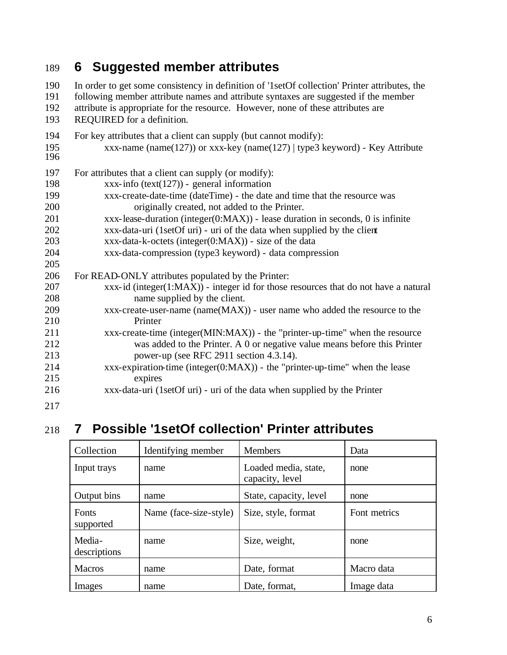# **6 Suggested member attributes**

 In order to get some consistency in definition of '1setOf collection' Printer attributes, the following member attribute names and attribute syntaxes are suggested if the member attribute is appropriate for the resource. However, none of these attributes are REQUIRED for a definition. For key attributes that a client can supply (but cannot modify): xxx-name (name(127)) or xxx-key (name(127) | type3 keyword) - Key Attribute For attributes that a client can supply (or modify): xxx-info (text(127)) - general information xxx-create-date-time (dateTime) - the date and time that the resource was originally created, not added to the Printer. xxx-lease-duration (integer(0:MAX)) - lease duration in seconds, 0 is infinite xxx-data-uri (1setOf uri) - uri of the data when supplied by the client xxx-data-k-octets (integer(0:MAX)) - size of the data xxx-data-compression (type3 keyword) - data compression For READ-ONLY attributes populated by the Printer: xxx-id (integer(1:MAX)) - integer id for those resources that do not have a natural name supplied by the client. xxx-create-user-name (name(MAX)) - user name who added the resource to the Printer xxx-create-time (integer(MIN:MAX)) - the "printer-up-time" when the resource was added to the Printer. A 0 or negative value means before this Printer power-up (see RFC 2911 section 4.3.14). xxx-expiration-time (integer(0:MAX)) - the "printer-up-time" when the lease expires xxx-data-uri (1setOf uri) - uri of the data when supplied by the Printer 

# **7 Possible '1setOf collection' Printer attributes**

| Collection                | Identifying member     | <b>Members</b>                          | Data         |
|---------------------------|------------------------|-----------------------------------------|--------------|
| Input trays               | name                   | Loaded media, state,<br>capacity, level | none         |
| Output bins               | name                   | State, capacity, level                  | none         |
| <b>Fonts</b><br>supported | Name (face-size-style) | Size, style, format                     | Font metrics |
| Media-<br>descriptions    | name                   | Size, weight,                           | none         |
| <b>Macros</b>             | name                   | Date, format                            | Macro data   |
| Images                    | name                   | Date, format,                           | Image data   |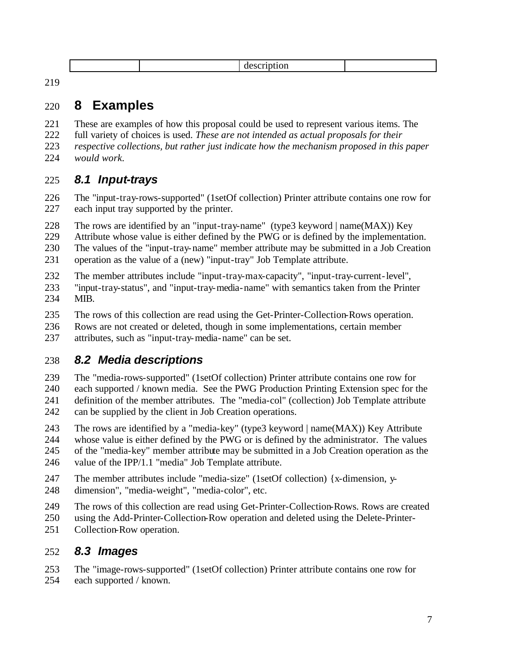|--|--|

### **8 Examples**

These are examples of how this proposal could be used to represent various items. The

- full variety of choices is used. *These are not intended as actual proposals for their*
- *respective collections, but rather just indicate how the mechanism proposed in this paper would work.*

#### *8.1 Input-trays*

- The "input-tray-rows-supported" (1setOf collection) Printer attribute contains one row for each input tray supported by the printer.
- The rows are identified by an "input-tray-name" (type3 keyword | name(MAX)) Key
- Attribute whose value is either defined by the PWG or is defined by the implementation.
- The values of the "input-tray-name" member attribute may be submitted in a Job Creation
- operation as the value of a (new) "input-tray" Job Template attribute.
- The member attributes include "input-tray-max-capacity", "input-tray-current-level",
- "input-tray-status", and "input-tray-media-name" with semantics taken from the Printer MIB.
- The rows of this collection are read using the Get-Printer-Collection-Rows operation.
- Rows are not created or deleted, though in some implementations, certain member
- attributes, such as "input-tray-media-name" can be set.

# *8.2 Media descriptions*

 The "media-rows-supported" (1setOf collection) Printer attribute contains one row for each supported / known media. See the PWG Production Printing Extension spec for the definition of the member attributes. The "media-col" (collection) Job Template attribute can be supplied by the client in Job Creation operations.

- The rows are identified by a "media-key" (type3 keyword | name(MAX)) Key Attribute
- whose value is either defined by the PWG or is defined by the administrator. The values of the "media-key" member attribute may be submitted in a Job Creation operation as the value of the IPP/1.1 "media" Job Template attribute.
- The member attributes include "media-size" (1setOf collection) {x-dimension, y-
- dimension", "media-weight", "media-color", etc.
- The rows of this collection are read using Get-Printer-Collection-Rows. Rows are created
- using the Add-Printer-Collection-Row operation and deleted using the Delete-Printer-
- Collection-Row operation.

#### *8.3 Images*

- The "image-rows-supported" (1setOf collection) Printer attribute contains one row for
- each supported / known.